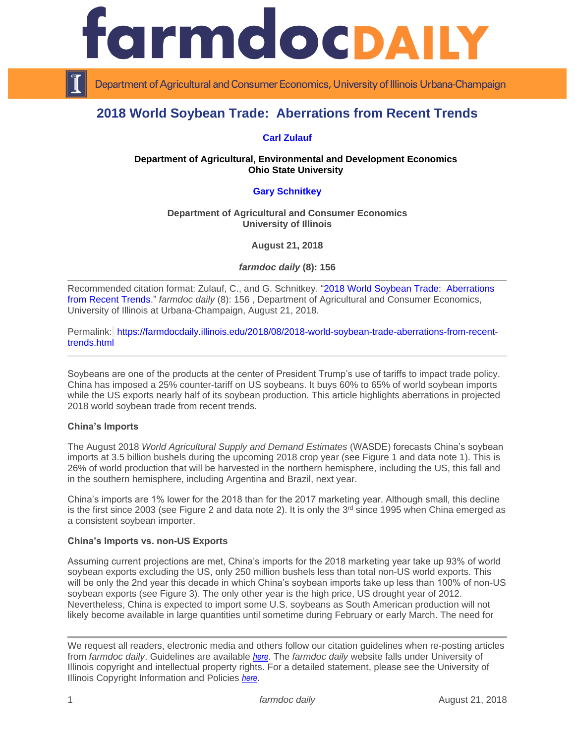

Department of Agricultural and Consumer Economics, University of Illinois Urbana-Champaign

# **2018 World Soybean Trade: Aberrations from Recent Trends**

# **[Carl Zulauf](http://aede.osu.edu/our-people/carl-zulauf)**

#### **Department of Agricultural, Environmental and Development Economics Ohio State University**

# **[Gary Schnitkey](http://farmdoc.illinois.edu/schnitkey)**

**Department of Agricultural and Consumer Economics University of Illinois**

**August 21, 2018**

*farmdoc daily* **(8): 156**

Recommended citation format: Zulauf, C., and G. Schnitkey. ["2018 World Soybean Trade: Aberrations](https://farmdocdaily.illinois.edu/2018/08/2018-world-soybean-trade-aberrations-from-recent-trends.html)  [from Recent Trends.](https://farmdocdaily.illinois.edu/2018/08/2018-world-soybean-trade-aberrations-from-recent-trends.html)" *farmdoc daily* (8): 156 , Department of Agricultural and Consumer Economics, University of Illinois at Urbana-Champaign, August 21, 2018.

Permalink: https://farmdocdaily.illinois.edu/2018/08/2018-world-soybean-trade-aberrations-from-recenttrends.html

Soybeans are one of the products at the center of President Trump's use of tariffs to impact trade policy. China has imposed a 25% counter-tariff on US soybeans. It buys 60% to 65% of world soybean imports while the US exports nearly half of its soybean production. This article highlights aberrations in projected 2018 world soybean trade from recent trends.

#### **China's Imports**

The August 2018 *World Agricultural Supply and Demand Estimates* (WASDE) forecasts China's soybean imports at 3.5 billion bushels during the upcoming 2018 crop year (see Figure 1 and data note 1). This is 26% of world production that will be harvested in the northern hemisphere, including the US, this fall and in the southern hemisphere, including Argentina and Brazil, next year.

China's imports are 1% lower for the 2018 than for the 2017 marketing year. Although small, this decline is the first since 2003 (see Figure 2 and data note 2). It is only the  $3<sup>rd</sup>$  since 1995 when China emerged as a consistent soybean importer.

#### **China's Imports vs. non-US Exports**

Assuming current projections are met, China's imports for the 2018 marketing year take up 93% of world soybean exports excluding the US, only 250 million bushels less than total non-US world exports. This will be only the 2nd year this decade in which China's soybean imports take up less than 100% of non-US soybean exports (see Figure 3). The only other year is the high price, US drought year of 2012. Nevertheless, China is expected to import some U.S. soybeans as South American production will not likely become available in large quantities until sometime during February or early March. The need for

We request all readers, electronic media and others follow our citation guidelines when re-posting articles from *farmdoc daily*. Guidelines are available *[here](http://farmdocdaily.illinois.edu/citationguide.html)*. The *farmdoc daily* website falls under University of Illinois copyright and intellectual property rights. For a detailed statement, please see the University of Illinois Copyright Information and Policies *[here](http://www.cio.illinois.edu/policies/copyright/)*.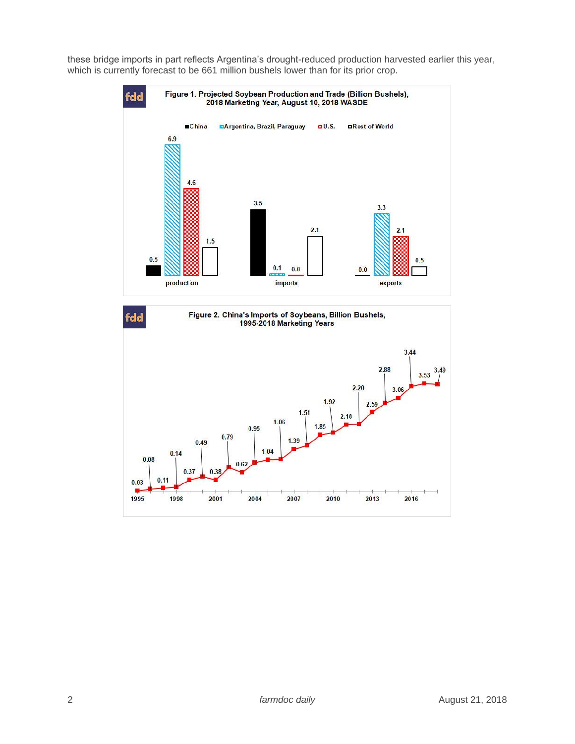these bridge imports in part reflects Argentina's drought-reduced production harvested earlier this year, which is currently forecast to be 661 million bushels lower than for its prior crop.



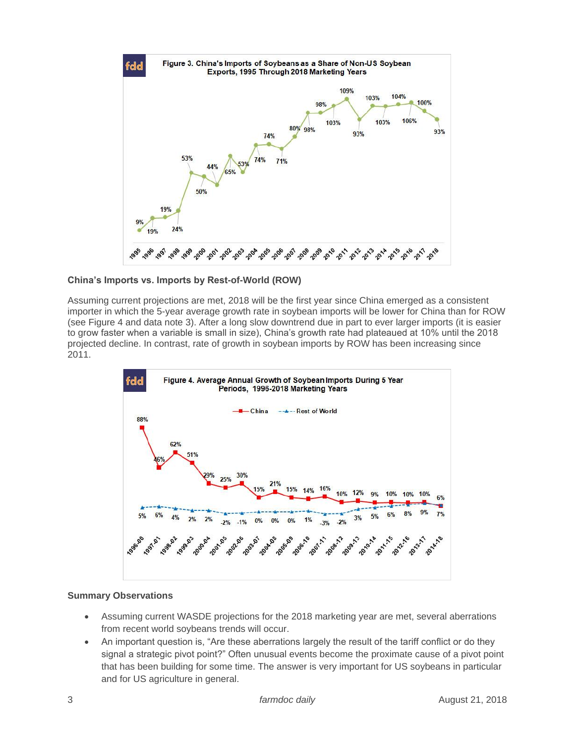

## **China's Imports vs. Imports by Rest-of-World (ROW)**

Assuming current projections are met, 2018 will be the first year since China emerged as a consistent importer in which the 5-year average growth rate in soybean imports will be lower for China than for ROW (see Figure 4 and data note 3). After a long slow downtrend due in part to ever larger imports (it is easier to grow faster when a variable is small in size), China's growth rate had plateaued at 10% until the 2018 projected decline. In contrast, rate of growth in soybean imports by ROW has been increasing since 2011.



## **Summary Observations**

- Assuming current WASDE projections for the 2018 marketing year are met, several aberrations from recent world soybeans trends will occur.
- An important question is, "Are these aberrations largely the result of the tariff conflict or do they signal a strategic pivot point?" Often unusual events become the proximate cause of a pivot point that has been building for some time. The answer is very important for US soybeans in particular and for US agriculture in general.